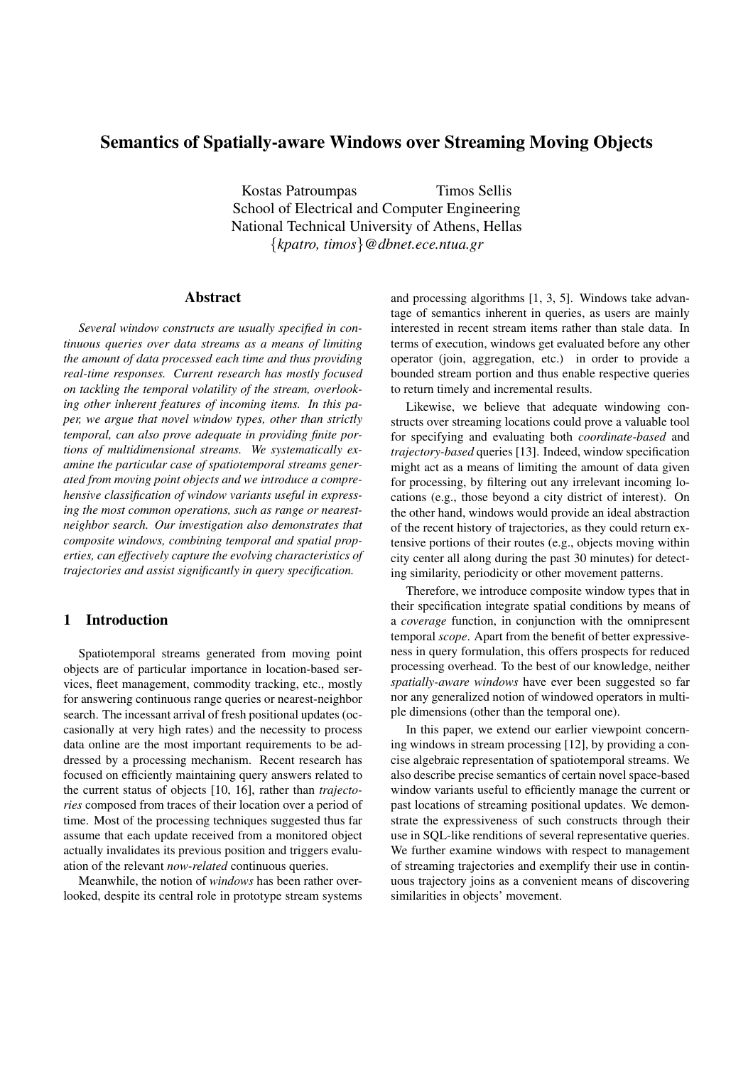# **Semantics of Spatially-aware Windows over Streaming Moving Objects**

Kostas Patroumpas Timos Sellis School of Electrical and Computer Engineering National Technical University of Athens, Hellas {*kpatro, timos*}*@dbnet.ece.ntua.gr*

## **Abstract**

*Several window constructs are usually specified in continuous queries over data streams as a means of limiting the amount of data processed each time and thus providing real-time responses. Current research has mostly focused on tackling the temporal volatility of the stream, overlooking other inherent features of incoming items. In this paper, we argue that novel window types, other than strictly temporal, can also prove adequate in providing finite portions of multidimensional streams. We systematically examine the particular case of spatiotemporal streams generated from moving point objects and we introduce a comprehensive classification of window variants useful in expressing the most common operations, such as range or nearestneighbor search. Our investigation also demonstrates that composite windows, combining temporal and spatial properties, can effectively capture the evolving characteristics of trajectories and assist significantly in query specification.*

# **1 Introduction**

Spatiotemporal streams generated from moving point objects are of particular importance in location-based services, fleet management, commodity tracking, etc., mostly for answering continuous range queries or nearest-neighbor search. The incessant arrival of fresh positional updates (occasionally at very high rates) and the necessity to process data online are the most important requirements to be addressed by a processing mechanism. Recent research has focused on efficiently maintaining query answers related to the current status of objects [10, 16], rather than *trajectories* composed from traces of their location over a period of time. Most of the processing techniques suggested thus far assume that each update received from a monitored object actually invalidates its previous position and triggers evaluation of the relevant *now-related* continuous queries.

Meanwhile, the notion of *windows* has been rather overlooked, despite its central role in prototype stream systems and processing algorithms [1, 3, 5]. Windows take advantage of semantics inherent in queries, as users are mainly interested in recent stream items rather than stale data. In terms of execution, windows get evaluated before any other operator (join, aggregation, etc.) in order to provide a bounded stream portion and thus enable respective queries to return timely and incremental results.

Likewise, we believe that adequate windowing constructs over streaming locations could prove a valuable tool for specifying and evaluating both *coordinate-based* and *trajectory-based* queries [13]. Indeed, window specification might act as a means of limiting the amount of data given for processing, by filtering out any irrelevant incoming locations (e.g., those beyond a city district of interest). On the other hand, windows would provide an ideal abstraction of the recent history of trajectories, as they could return extensive portions of their routes (e.g., objects moving within city center all along during the past 30 minutes) for detecting similarity, periodicity or other movement patterns.

Therefore, we introduce composite window types that in their specification integrate spatial conditions by means of a *coverage* function, in conjunction with the omnipresent temporal *scope*. Apart from the benefit of better expressiveness in query formulation, this offers prospects for reduced processing overhead. To the best of our knowledge, neither *spatially-aware windows* have ever been suggested so far nor any generalized notion of windowed operators in multiple dimensions (other than the temporal one).

In this paper, we extend our earlier viewpoint concerning windows in stream processing [12], by providing a concise algebraic representation of spatiotemporal streams. We also describe precise semantics of certain novel space-based window variants useful to efficiently manage the current or past locations of streaming positional updates. We demonstrate the expressiveness of such constructs through their use in SQL-like renditions of several representative queries. We further examine windows with respect to management of streaming trajectories and exemplify their use in continuous trajectory joins as a convenient means of discovering similarities in objects' movement.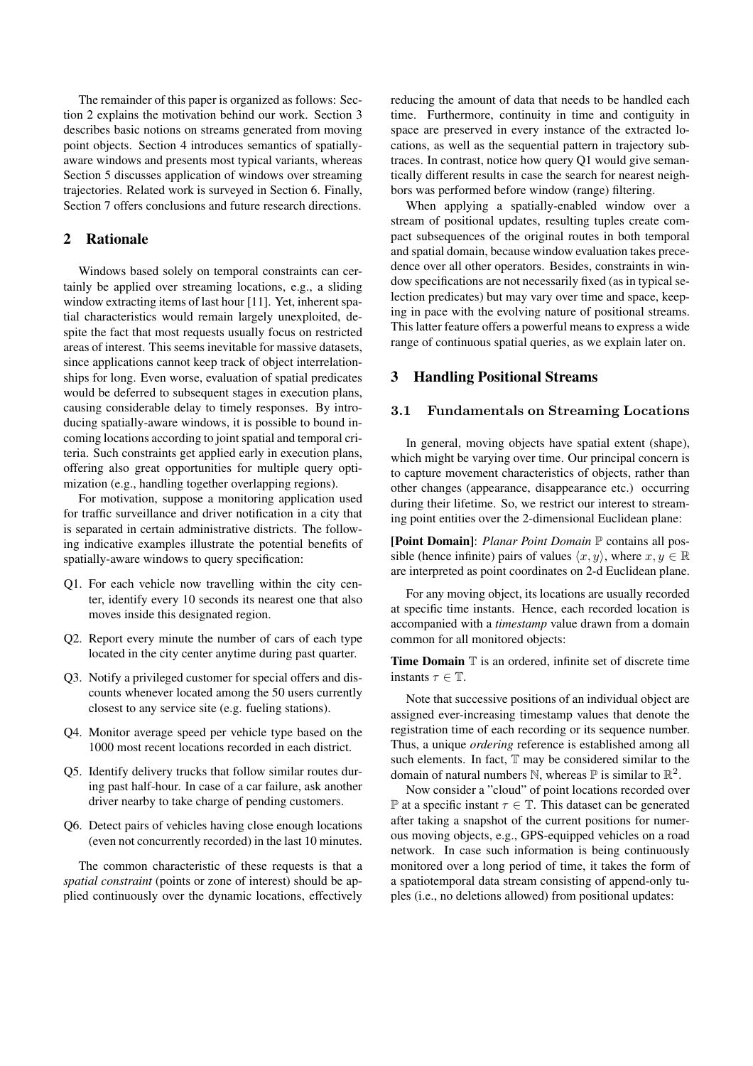The remainder of this paper is organized as follows: Section 2 explains the motivation behind our work. Section 3 describes basic notions on streams generated from moving point objects. Section 4 introduces semantics of spatiallyaware windows and presents most typical variants, whereas Section 5 discusses application of windows over streaming trajectories. Related work is surveyed in Section 6. Finally, Section 7 offers conclusions and future research directions.

## **2 Rationale**

Windows based solely on temporal constraints can certainly be applied over streaming locations, e.g., a sliding window extracting items of last hour [11]. Yet, inherent spatial characteristics would remain largely unexploited, despite the fact that most requests usually focus on restricted areas of interest. This seems inevitable for massive datasets, since applications cannot keep track of object interrelationships for long. Even worse, evaluation of spatial predicates would be deferred to subsequent stages in execution plans, causing considerable delay to timely responses. By introducing spatially-aware windows, it is possible to bound incoming locations according to joint spatial and temporal criteria. Such constraints get applied early in execution plans, offering also great opportunities for multiple query optimization (e.g., handling together overlapping regions).

For motivation, suppose a monitoring application used for traffic surveillance and driver notification in a city that is separated in certain administrative districts. The following indicative examples illustrate the potential benefits of spatially-aware windows to query specification:

- Q1. For each vehicle now travelling within the city center, identify every 10 seconds its nearest one that also moves inside this designated region.
- Q2. Report every minute the number of cars of each type located in the city center anytime during past quarter.
- Q3. Notify a privileged customer for special offers and discounts whenever located among the 50 users currently closest to any service site (e.g. fueling stations).
- Q4. Monitor average speed per vehicle type based on the 1000 most recent locations recorded in each district.
- Q5. Identify delivery trucks that follow similar routes during past half-hour. In case of a car failure, ask another driver nearby to take charge of pending customers.
- Q6. Detect pairs of vehicles having close enough locations (even not concurrently recorded) in the last 10 minutes.

The common characteristic of these requests is that a *spatial constraint* (points or zone of interest) should be applied continuously over the dynamic locations, effectively reducing the amount of data that needs to be handled each time. Furthermore, continuity in time and contiguity in space are preserved in every instance of the extracted locations, as well as the sequential pattern in trajectory subtraces. In contrast, notice how query Q1 would give semantically different results in case the search for nearest neighbors was performed before window (range) filtering.

When applying a spatially-enabled window over a stream of positional updates, resulting tuples create compact subsequences of the original routes in both temporal and spatial domain, because window evaluation takes precedence over all other operators. Besides, constraints in window specifications are not necessarily fixed (as in typical selection predicates) but may vary over time and space, keeping in pace with the evolving nature of positional streams. This latter feature offers a powerful means to express a wide range of continuous spatial queries, as we explain later on.

## **3 Handling Positional Streams**

### **3.1 Fundamentals on Streaming Locations**

In general, moving objects have spatial extent (shape), which might be varying over time. Our principal concern is to capture movement characteristics of objects, rather than other changes (appearance, disappearance etc.) occurring during their lifetime. So, we restrict our interest to streaming point entities over the 2-dimensional Euclidean plane:

**[Point Domain]**: *Planar Point Domain* P contains all possible (hence infinite) pairs of values  $\langle x, y \rangle$ , where  $x, y \in \mathbb{R}$ are interpreted as point coordinates on 2-d Euclidean plane.

For any moving object, its locations are usually recorded at specific time instants. Hence, each recorded location is accompanied with a *timestamp* value drawn from a domain common for all monitored objects:

**Time Domain**  $\mathbb T$  is an ordered, infinite set of discrete time instants  $\tau \in \mathbb{T}$ .

Note that successive positions of an individual object are assigned ever-increasing timestamp values that denote the registration time of each recording or its sequence number. Thus, a unique *ordering* reference is established among all such elements. In fact,  $T$  may be considered similar to the domain of natural numbers N, whereas  $\mathbb P$  is similar to  $\mathbb R^2$ .

Now consider a "cloud" of point locations recorded over  $\mathbb P$  at a specific instant  $\tau \in \mathbb T$ . This dataset can be generated after taking a snapshot of the current positions for numerous moving objects, e.g., GPS-equipped vehicles on a road network. In case such information is being continuously monitored over a long period of time, it takes the form of a spatiotemporal data stream consisting of append-only tuples (i.e., no deletions allowed) from positional updates: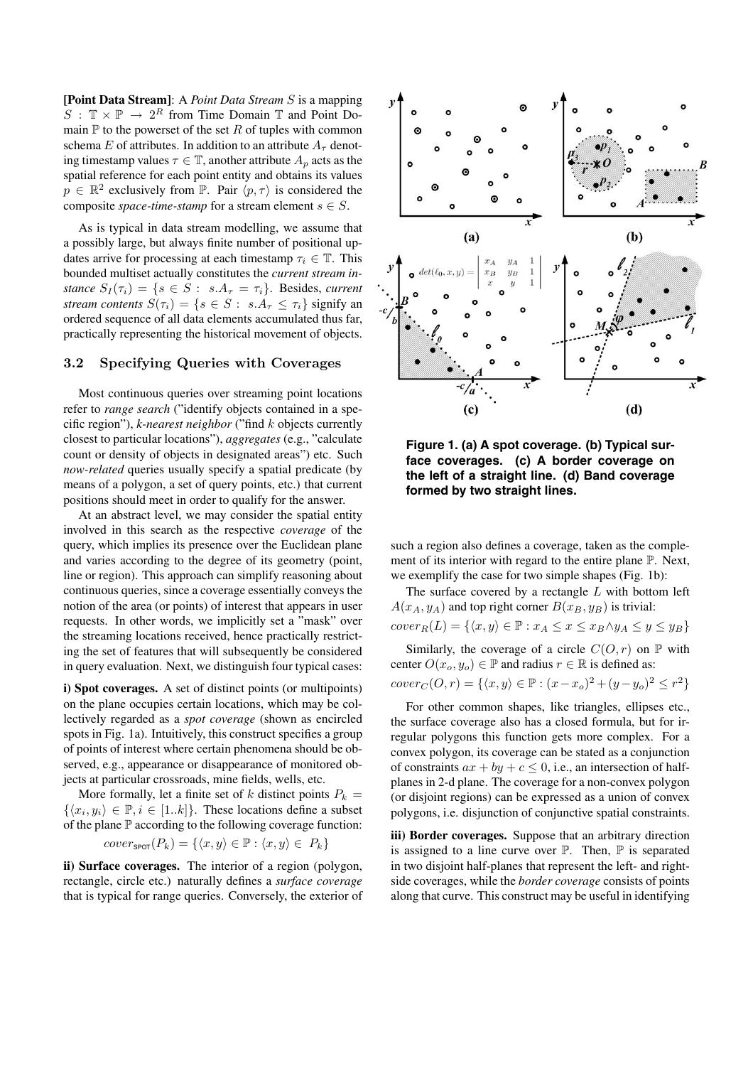**[Point Data Stream]**: A *Point Data Stream* S is a mapping  $S : \mathbb{T} \times \mathbb{P} \to 2^R$  from Time Domain  $\mathbb{T}$  and Point Domain  $\mathbb P$  to the powerset of the set R of tuples with common schema E of attributes. In addition to an attribute  $A_\tau$  denoting timestamp values  $\tau \in \mathbb{T}$ , another attribute  $A_n$  acts as the spatial reference for each point entity and obtains its values  $p \in \mathbb{R}^2$  exclusively from  $\mathbb{P}$ . Pair  $\langle p, \tau \rangle$  is considered the composite *space-time-stamp* for a stream element  $s \in S$ .

As is typical in data stream modelling, we assume that a possibly large, but always finite number of positional updates arrive for processing at each timestamp  $\tau_i \in \mathbb{T}$ . This bounded multiset actually constitutes the *current stream instance*  $S_I(\tau_i) = \{s \in S : s.A_\tau = \tau_i\}$ . Besides, *current stream contents*  $S(\tau_i) = \{s \in S : s.A_\tau \leq \tau_i\}$  signify an ordered sequence of all data elements accumulated thus far, practically representing the historical movement of objects.

### **3.2 Specifying Queries with Coverages**

Most continuous queries over streaming point locations refer to *range search* ("identify objects contained in a specific region"), *k-nearest neighbor* ("find k objects currently closest to particular locations"), *aggregates* (e.g., "calculate count or density of objects in designated areas") etc. Such *now-related* queries usually specify a spatial predicate (by means of a polygon, a set of query points, etc.) that current positions should meet in order to qualify for the answer.

At an abstract level, we may consider the spatial entity involved in this search as the respective *coverage* of the query, which implies its presence over the Euclidean plane and varies according to the degree of its geometry (point, line or region). This approach can simplify reasoning about continuous queries, since a coverage essentially conveys the notion of the area (or points) of interest that appears in user requests. In other words, we implicitly set a "mask" over the streaming locations received, hence practically restricting the set of features that will subsequently be considered in query evaluation. Next, we distinguish four typical cases:

**i) Spot coverages.** A set of distinct points (or multipoints) on the plane occupies certain locations, which may be collectively regarded as a *spot coverage* (shown as encircled spots in Fig. 1a). Intuitively, this construct specifies a group of points of interest where certain phenomena should be observed, e.g., appearance or disappearance of monitored objects at particular crossroads, mine fields, wells, etc.

More formally, let a finite set of k distinct points  $P_k =$  $\{\langle x_i, y_i \rangle \in \mathbb{P}, i \in [1..k]\}.$  These locations define a subset of the plane  $\mathbb P$  according to the following coverage function:

$$
cover_{\text{SPOT}}(P_k) = \{ \langle x, y \rangle \in \mathbb{P} : \langle x, y \rangle \in P_k \}
$$

**ii) Surface coverages.** The interior of a region (polygon, rectangle, circle etc.) naturally defines a *surface coverage* that is typical for range queries. Conversely, the exterior of



**Figure 1. (a) A spot coverage. (b) Typical surface coverages. (c) A border coverage on the left of a straight line. (d) Band coverage formed by two straight lines.**

such a region also defines a coverage, taken as the complement of its interior with regard to the entire plane P. Next, we exemplify the case for two simple shapes (Fig. 1b):

The surface covered by a rectangle  $L$  with bottom left  $A(x_A, y_A)$  and top right corner  $B(x_B, y_B)$  is trivial:  $cover_R(L) = \{ \langle x, y \rangle \in \mathbb{P} : x_A \leq x \leq x_B \land y_A \leq y \leq y_B \}$ 

Similarly, the coverage of a circle  $C(O, r)$  on  $\mathbb P$  with center  $O(x_o, y_o) \in \mathbb{P}$  and radius  $r \in \mathbb{R}$  is defined as:

 $cover_C(O, r) = \{ \langle x, y \rangle \in \mathbb{P} : (x - x_o)^2 + (y - y_o)^2 \leq r^2 \}$ 

For other common shapes, like triangles, ellipses etc., the surface coverage also has a closed formula, but for irregular polygons this function gets more complex. For a convex polygon, its coverage can be stated as a conjunction of constraints  $ax + by + c \le 0$ , i.e., an intersection of halfplanes in 2-d plane. The coverage for a non-convex polygon (or disjoint regions) can be expressed as a union of convex polygons, i.e. disjunction of conjunctive spatial constraints.

**iii) Border coverages.** Suppose that an arbitrary direction is assigned to a line curve over  $\mathbb P$ . Then,  $\mathbb P$  is separated in two disjoint half-planes that represent the left- and rightside coverages, while the *border coverage* consists of points along that curve. This construct may be useful in identifying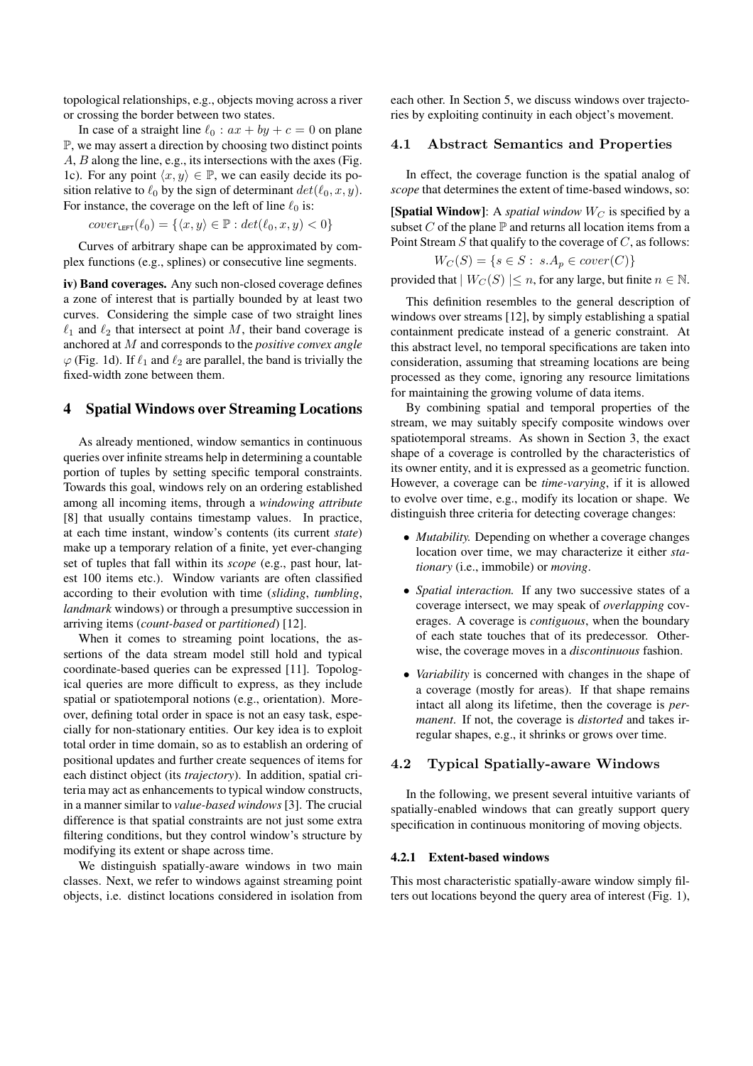topological relationships, e.g., objects moving across a river or crossing the border between two states.

In case of a straight line  $\ell_0 : ax + by + c = 0$  on plane P, we may assert a direction by choosing two distinct points A, B along the line, e.g., its intersections with the axes (Fig. 1c). For any point  $\langle x, y \rangle \in \mathbb{P}$ , we can easily decide its position relative to  $\ell_0$  by the sign of determinant  $det(\ell_0, x, y)$ . For instance, the coverage on the left of line  $\ell_0$  is:

$$
cover_{\text{LEFT}}(\ell_0) = \{ \langle x, y \rangle \in \mathbb{P} : det(\ell_0, x, y) < 0 \}
$$

Curves of arbitrary shape can be approximated by complex functions (e.g., splines) or consecutive line segments.

**iv) Band coverages.** Any such non-closed coverage defines a zone of interest that is partially bounded by at least two curves. Considering the simple case of two straight lines  $\ell_1$  and  $\ell_2$  that intersect at point M, their band coverage is anchored at M and corresponds to the *positive convex angle*  $\varphi$  (Fig. 1d). If  $\ell_1$  and  $\ell_2$  are parallel, the band is trivially the fixed-width zone between them.

## **4 Spatial Windows over Streaming Locations**

As already mentioned, window semantics in continuous queries over infinite streams help in determining a countable portion of tuples by setting specific temporal constraints. Towards this goal, windows rely on an ordering established among all incoming items, through a *windowing attribute* [8] that usually contains timestamp values. In practice, at each time instant, window's contents (its current *state*) make up a temporary relation of a finite, yet ever-changing set of tuples that fall within its *scope* (e.g., past hour, latest 100 items etc.). Window variants are often classified according to their evolution with time (*sliding*, *tumbling*, *landmark* windows) or through a presumptive succession in arriving items (*count-based* or *partitioned*) [12].

When it comes to streaming point locations, the assertions of the data stream model still hold and typical coordinate-based queries can be expressed [11]. Topological queries are more difficult to express, as they include spatial or spatiotemporal notions (e.g., orientation). Moreover, defining total order in space is not an easy task, especially for non-stationary entities. Our key idea is to exploit total order in time domain, so as to establish an ordering of positional updates and further create sequences of items for each distinct object (its *trajectory*). In addition, spatial criteria may act as enhancements to typical window constructs, in a manner similar to *value-based windows* [3]. The crucial difference is that spatial constraints are not just some extra filtering conditions, but they control window's structure by modifying its extent or shape across time.

We distinguish spatially-aware windows in two main classes. Next, we refer to windows against streaming point objects, i.e. distinct locations considered in isolation from each other. In Section 5, we discuss windows over trajectories by exploiting continuity in each object's movement.

## **4.1 Abstract Semantics and Properties**

In effect, the coverage function is the spatial analog of *scope* that determines the extent of time-based windows, so:

**[Spatial Window]**: A *spatial window*  $W_C$  is specified by a subset  $C$  of the plane  $\mathbb P$  and returns all location items from a Point Stream  $S$  that qualify to the coverage of  $C$ , as follows:

$$
W_C(S) = \{ s \in S : s.A_p \in cover(C) \}
$$

provided that  $|W_C(S)| \leq n$ , for any large, but finite  $n \in \mathbb{N}$ .

This definition resembles to the general description of windows over streams [12], by simply establishing a spatial containment predicate instead of a generic constraint. At this abstract level, no temporal specifications are taken into consideration, assuming that streaming locations are being processed as they come, ignoring any resource limitations for maintaining the growing volume of data items.

By combining spatial and temporal properties of the stream, we may suitably specify composite windows over spatiotemporal streams. As shown in Section 3, the exact shape of a coverage is controlled by the characteristics of its owner entity, and it is expressed as a geometric function. However, a coverage can be *time-varying*, if it is allowed to evolve over time, e.g., modify its location or shape. We distinguish three criteria for detecting coverage changes:

- *Mutability.* Depending on whether a coverage changes location over time, we may characterize it either *stationary* (i.e., immobile) or *moving*.
- *Spatial interaction.* If any two successive states of a coverage intersect, we may speak of *overlapping* coverages. A coverage is *contiguous*, when the boundary of each state touches that of its predecessor. Otherwise, the coverage moves in a *discontinuous* fashion.
- *Variability* is concerned with changes in the shape of a coverage (mostly for areas). If that shape remains intact all along its lifetime, then the coverage is *permanent*. If not, the coverage is *distorted* and takes irregular shapes, e.g., it shrinks or grows over time.

### **4.2 Typical Spatially-aware Windows**

In the following, we present several intuitive variants of spatially-enabled windows that can greatly support query specification in continuous monitoring of moving objects.

#### **4.2.1 Extent-based windows**

This most characteristic spatially-aware window simply filters out locations beyond the query area of interest (Fig. 1),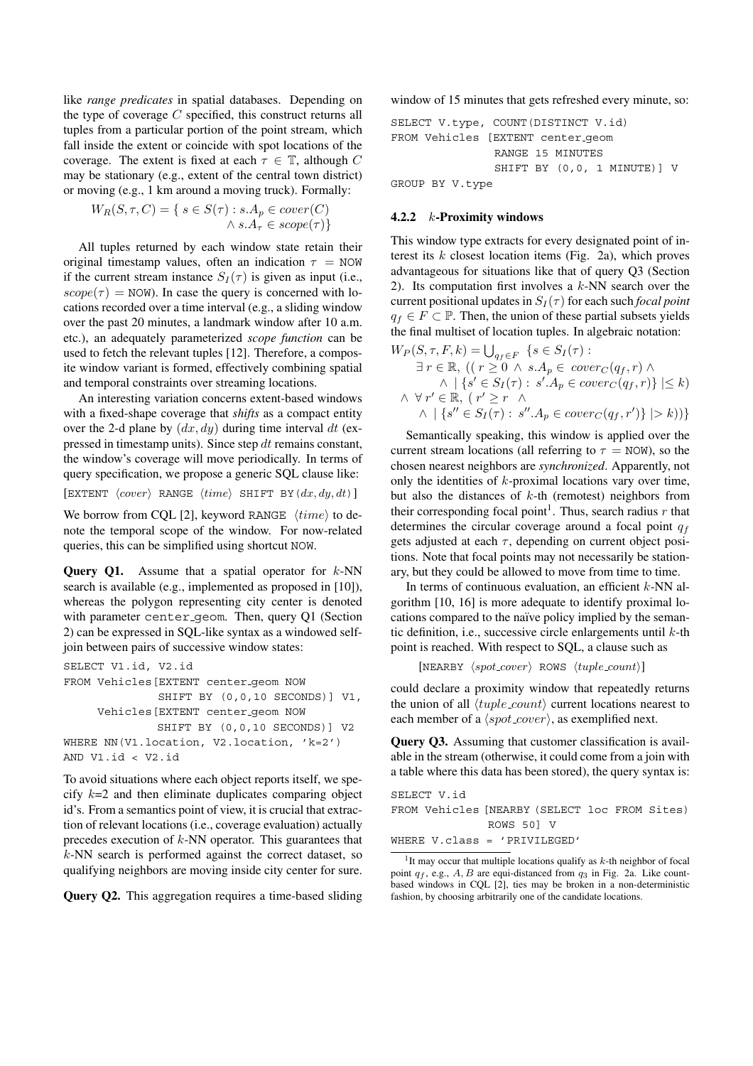like *range predicates* in spatial databases. Depending on the type of coverage  $C$  specified, this construct returns all tuples from a particular portion of the point stream, which fall inside the extent or coincide with spot locations of the coverage. The extent is fixed at each  $\tau \in \mathbb{T}$ , although C may be stationary (e.g., extent of the central town district) or moving (e.g., 1 km around a moving truck). Formally:

$$
W_R(S, \tau, C) = \{ s \in S(\tau) : s.A_p \in cover(C) \land s.A_\tau \in scope(\tau) \}
$$

All tuples returned by each window state retain their original timestamp values, often an indication  $\tau = NOW$ if the current stream instance  $S_I(\tau)$  is given as input (i.e.,  $scope(\tau) = NOW)$ . In case the query is concerned with locations recorded over a time interval (e.g., a sliding window over the past 20 minutes, a landmark window after 10 a.m. etc.), an adequately parameterized *scope function* can be used to fetch the relevant tuples [12]. Therefore, a composite window variant is formed, effectively combining spatial and temporal constraints over streaming locations.

An interesting variation concerns extent-based windows with a fixed-shape coverage that *shifts* as a compact entity over the 2-d plane by  $(dx, dy)$  during time interval dt (expressed in timestamp units). Since step dt remains constant, the window's coverage will move periodically. In terms of query specification, we propose a generic SQL clause like:  $\left[ \texttt{EXTENT}\ \left\langle cover \right\rangle\ \texttt{RANGE}\ \left\langle time \right\rangle\ \texttt{SHIFT}\ \texttt{BY}\left( dx, dy, dt \right) \right]$ 

We borrow from CQL [2], keyword RANGE  $\langle time \rangle$  to denote the temporal scope of the window. For now-related queries, this can be simplified using shortcut NOW.

**Query Q1.** Assume that a spatial operator for k-NN search is available (e.g., implemented as proposed in [10]), whereas the polygon representing city center is denoted with parameter center geom. Then, query Q1 (Section 2) can be expressed in SQL-like syntax as a windowed selfjoin between pairs of successive window states:

```
SELECT V1.id, V2.id
FROM Vehicles[EXTENT center geom NOW
              SHIFT BY (0,0,10 SECONDS)] V1,
     Vehicles[EXTENT center geom NOW
             SHIFT BY (0,0,10 SECONDS)] V2
WHERE NN(V1.location, V2.location, 'k=2')
AND V1.id < V2.id
```
To avoid situations where each object reports itself, we specify  $k=2$  and then eliminate duplicates comparing object id's. From a semantics point of view, it is crucial that extraction of relevant locations (i.e., coverage evaluation) actually precedes execution of  $k$ -NN operator. This guarantees that  $k$ -NN search is performed against the correct dataset, so qualifying neighbors are moving inside city center for sure.

**Query Q2.** This aggregation requires a time-based sliding

window of 15 minutes that gets refreshed every minute, so:

```
SELECT V.type, COUNT(DISTINCT V.id)
FROM Vehicles [EXTENT center geom
               RANGE 15 MINUTES
               SHIFT BY (0,0, 1 MINUTE)] V
GROUP BY V.type
```
#### **4.2.2** k**-Proximity windows**

This window type extracts for every designated point of interest its  $k$  closest location items (Fig. 2a), which proves advantageous for situations like that of query Q3 (Section 2). Its computation first involves a  $k$ -NN search over the current positional updates in  $S_I(\tau)$  for each such *focal point*  $q_f \in F \subset \mathbb{P}$ . Then, the union of these partial subsets yields the final multiset of location tuples. In algebraic notation:  $W_{-}(S - F, k) = 1.1$  $f = g(t)$ 

$$
W_P(S, \tau, F, \kappa) = \bigcup_{q_f \in F} \{ s \in S_I(\tau) : \\ \exists r \in \mathbb{R}, ((r \ge 0 \land s.A_p \in \text{cover}_C(q_f, r) \land \\ \land | \{ s' \in S_I(\tau) : s'.A_p \in \text{cover}_C(q_f, r) \} | \le k)
$$
  

$$
\land \forall r' \in \mathbb{R}, (r' \ge r \land \\ \land | \{ s'' \in S_I(\tau) : s''.A_p \in \text{cover}_C(q_f, r') \} | > k)) \}
$$

Semantically speaking, this window is applied over the current stream locations (all referring to  $\tau = NOW$ ), so the chosen nearest neighbors are *synchronized*. Apparently, not only the identities of  $k$ -proximal locations vary over time, but also the distances of  $k$ -th (remotest) neighbors from their corresponding focal point<sup>1</sup>. Thus, search radius  $r$  that determines the circular coverage around a focal point  $q_f$ gets adjusted at each  $\tau$ , depending on current object positions. Note that focal points may not necessarily be stationary, but they could be allowed to move from time to time.

In terms of continuous evaluation, an efficient  $k$ -NN algorithm [10, 16] is more adequate to identify proximal locations compared to the naïve policy implied by the semantic definition, i.e., successive circle enlargements until  $k$ -th point is reached. With respect to SQL, a clause such as

```
[NEARBY \ \langle spot\_cover \rangle \ ROWS \ \langle tuple\_count \rangle]
```
could declare a proximity window that repeatedly returns the union of all  $\langle tuple\_count \rangle$  current locations nearest to each member of a  $\langle spot\_cover \rangle$ , as exemplified next.

**Query Q3.** Assuming that customer classification is available in the stream (otherwise, it could come from a join with a table where this data has been stored), the query syntax is:

```
SELECT V.id
FROM Vehicles [NEARBY (SELECT loc FROM Sites)
              ROWS 50] V
WHERE V.class = 'PRIVILEGED'
```
<sup>1</sup>It may occur that multiple locations qualify as *k*-th neighbor of focal point  $q_f$ , e.g.,  $A$ ,  $B$  are equi-distanced from  $q_3$  in Fig. 2a. Like countbased windows in CQL [2], ties may be broken in a non-deterministic fashion, by choosing arbitrarily one of the candidate locations.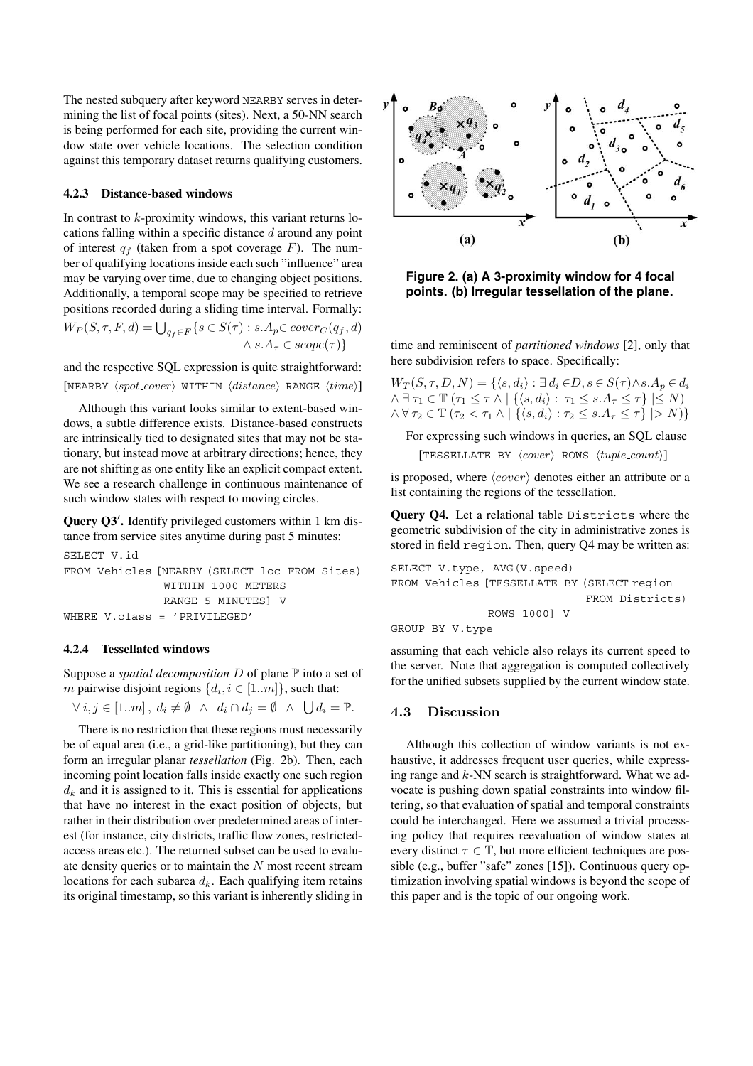The nested subquery after keyword NEARBY serves in determining the list of focal points (sites). Next, a 50-NN search is being performed for each site, providing the current window state over vehicle locations. The selection condition against this temporary dataset returns qualifying customers.

#### **4.2.3 Distance-based windows**

In contrast to  $k$ -proximity windows, this variant returns locations falling within a specific distance  $d$  around any point of interest  $q_f$  (taken from a spot coverage F). The number of qualifying locations inside each such "influence" area may be varying over time, due to changing object positions. Additionally, a temporal scope may be specified to retrieve positions recorded during a sliding time interval. Formally:  $W_P(S, \tau, F, d) = \bigcup_{q_f \in F} \{s \in S(\tau) : s.A_p \in cover_C(q_f, d)\}$  $\bigwedge^r s.A_\tau \in \mathit{score}(\tau)\}$ 

and the respective SQL expression is quite straightforward:  $[{\tt NEARBY~}\langle spot\_cover\rangle~{\tt WITHIN~}\langle distance\rangle~{\tt RANGE~}\langle time\rangle]$ 

Although this variant looks similar to extent-based windows, a subtle difference exists. Distance-based constructs are intrinsically tied to designated sites that may not be stationary, but instead move at arbitrary directions; hence, they are not shifting as one entity like an explicit compact extent. We see a research challenge in continuous maintenance of such window states with respect to moving circles.

**Query Q3'.** Identify privileged customers within 1 km distance from service sites anytime during past 5 minutes:

```
SELECT V.id
FROM Vehicles [NEARBY (SELECT loc FROM Sites)
               WITHIN 1000 METERS
               RANGE 5 MINUTES] V
WHERE V.class = 'PRIVILEGED'
```
### **4.2.4 Tessellated windows**

Suppose a *spatial decomposition* D of plane P into a set of m pairwise disjoint regions  $\{d_i, i \in [1..m]\}$ , such that:

 $\forall i, j \in [1..m], d_i \neq \emptyset \land d_i \cap d_j = \emptyset \land \bigcup d_i = \mathbb{P}.$ 

There is no restriction that these regions must necessarily be of equal area (i.e., a grid-like partitioning), but they can form an irregular planar *tessellation* (Fig. 2b). Then, each incoming point location falls inside exactly one such region  $d_k$  and it is assigned to it. This is essential for applications that have no interest in the exact position of objects, but rather in their distribution over predetermined areas of interest (for instance, city districts, traffic flow zones, restrictedaccess areas etc.). The returned subset can be used to evaluate density queries or to maintain the N most recent stream locations for each subarea  $d_k$ . Each qualifying item retains its original timestamp, so this variant is inherently sliding in



**Figure 2. (a) A 3-proximity window for 4 focal points. (b) Irregular tessellation of the plane.**

time and reminiscent of *partitioned windows* [2], only that here subdivision refers to space. Specifically:

 $W_T(S, \tau, D, N) = \{ \langle s, d_i \rangle : \exists d_i \in D, s \in S(\tau) \wedge s \cdot A_p \in d_i \}$  $\wedge \exists \tau_1 \in \mathbb{T}$   $(\tau_1 \leq \tau \wedge \mid \{ \langle s, d_i \rangle : \tau_1 \leq s.A_{\tau} \leq \tau \} \mid \leq N)$  $\wedge \forall \tau_2 \in \mathbb{T} (\tau_2 \lt \tau_1 \wedge \mid \{ \langle s, d_i \rangle : \tau_2 \leq s.A_\tau \leq \tau \} \mid > N$ 

For expressing such windows in queries, an SQL clause  $[TEST\texttt{LATE BY } \langle cover \rangle$  ROWS  $\langle tuple\_count \rangle]$ 

is proposed, where  $\langle cover \rangle$  denotes either an attribute or a list containing the regions of the tessellation.

**Query Q4.** Let a relational table Districts where the geometric subdivision of the city in administrative zones is stored in field region. Then, query Q4 may be written as:

```
SELECT V.type, AVG(V.speed)
FROM Vehicles [TESSELLATE BY (SELECT region
                              FROM Districts)
              ROWS 1000] V
GROUP BY V.type
```
assuming that each vehicle also relays its current speed to the server. Note that aggregation is computed collectively for the unified subsets supplied by the current window state.

## **4.3 Discussion**

Although this collection of window variants is not exhaustive, it addresses frequent user queries, while expressing range and  $k$ -NN search is straightforward. What we advocate is pushing down spatial constraints into window filtering, so that evaluation of spatial and temporal constraints could be interchanged. Here we assumed a trivial processing policy that requires reevaluation of window states at every distinct  $\tau \in \mathbb{T}$ , but more efficient techniques are possible (e.g., buffer "safe" zones [15]). Continuous query optimization involving spatial windows is beyond the scope of this paper and is the topic of our ongoing work.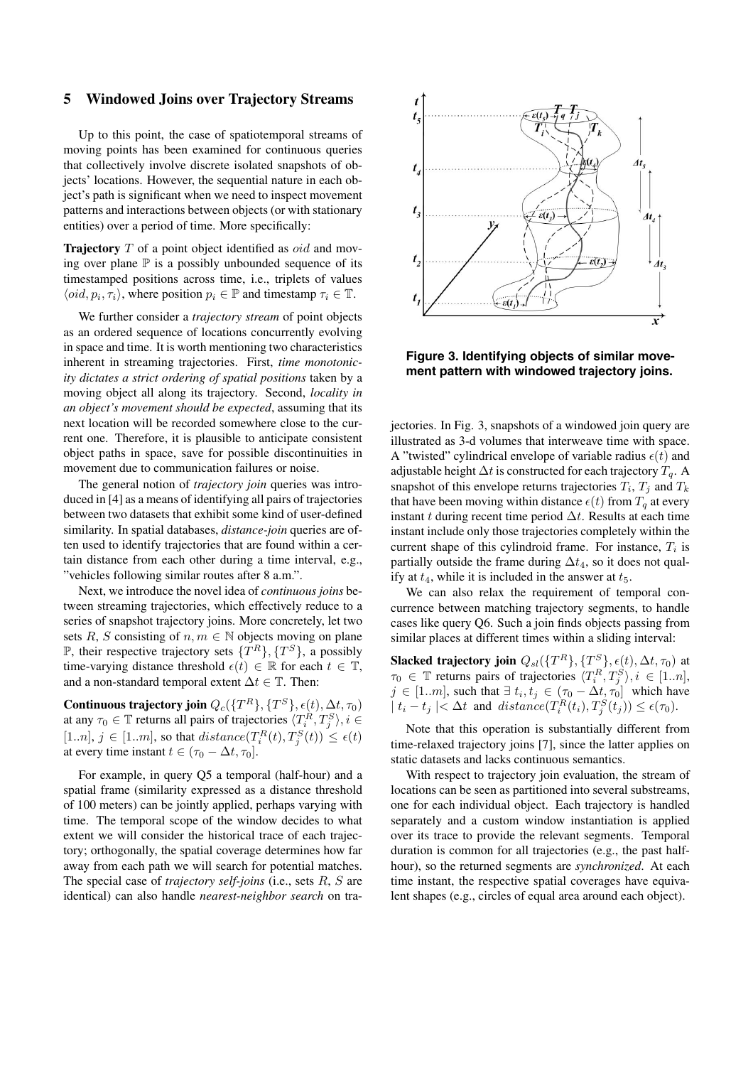## **5 Windowed Joins over Trajectory Streams**

Up to this point, the case of spatiotemporal streams of moving points has been examined for continuous queries that collectively involve discrete isolated snapshots of objects' locations. However, the sequential nature in each object's path is significant when we need to inspect movement patterns and interactions between objects (or with stationary entities) over a period of time. More specifically:

**Trajectory** T of a point object identified as *oid* and moving over plane  $\mathbb P$  is a possibly unbounded sequence of its timestamped positions across time, i.e., triplets of values  $\langle \text{oid}, p_i, \tau_i \rangle$ , where position  $p_i \in \mathbb{P}$  and timestamp  $\tau_i \in \mathbb{T}$ .

We further consider a *trajectory stream* of point objects as an ordered sequence of locations concurrently evolving in space and time. It is worth mentioning two characteristics inherent in streaming trajectories. First, *time monotonicity dictates a strict ordering of spatial positions* taken by a moving object all along its trajectory. Second, *locality in an object's movement should be expected*, assuming that its next location will be recorded somewhere close to the current one. Therefore, it is plausible to anticipate consistent object paths in space, save for possible discontinuities in movement due to communication failures or noise.

The general notion of *trajectory join* queries was introduced in [4] as a means of identifying all pairs of trajectories between two datasets that exhibit some kind of user-defined similarity. In spatial databases, *distance-join* queries are often used to identify trajectories that are found within a certain distance from each other during a time interval, e.g., "vehicles following similar routes after 8 a.m.".

Next, we introduce the novel idea of *continuous joins* between streaming trajectories, which effectively reduce to a series of snapshot trajectory joins. More concretely, let two sets R, S consisting of  $n, m \in \mathbb{N}$  objects moving on plane  $\mathbb{P}$ , their respective trajectory sets  $\{T^R\}, \{T^S\}$ , a possibly time-varying distance threshold  $\epsilon(t) \in \mathbb{R}$  for each  $t \in \mathbb{T}$ , and a non-standard temporal extent  $\Delta t \in \mathbb{T}$ . Then:

**Continuous trajectory join**  $Q_c({T^R}, {T^S}, \epsilon(t), \Delta t, \tau_0)$ at any  $\tau_0 \in \mathbb{T}$  returns all pairs of trajectories  $\langle T_i^R, T_j^S \rangle, i \in$  $[1..n], j \in [1..m],$  so that  $distance(T_i^R(t), T_j^S(t)) \leq \epsilon(t)$ at every time instant  $t \in (\tau_0 - \Delta t, \tau_0]$ .

For example, in query Q5 a temporal (half-hour) and a spatial frame (similarity expressed as a distance threshold of 100 meters) can be jointly applied, perhaps varying with time. The temporal scope of the window decides to what extent we will consider the historical trace of each trajectory; orthogonally, the spatial coverage determines how far away from each path we will search for potential matches. The special case of *trajectory self-joins* (i.e., sets R, S are identical) can also handle *nearest-neighbor search* on tra-



**Figure 3. Identifying objects of similar movement pattern with windowed trajectory joins.**

jectories. In Fig. 3, snapshots of a windowed join query are illustrated as 3-d volumes that interweave time with space. A "twisted" cylindrical envelope of variable radius  $\epsilon(t)$  and adjustable height  $\Delta t$  is constructed for each trajectory  $T<sub>q</sub>$ . A snapshot of this envelope returns trajectories  $T_i$ ,  $T_j$  and  $T_k$ that have been moving within distance  $\epsilon(t)$  from  $T_q$  at every instant t during recent time period  $\Delta t$ . Results at each time instant include only those trajectories completely within the current shape of this cylindroid frame. For instance,  $T_i$  is partially outside the frame during  $\Delta t_4$ , so it does not qualify at  $t_4$ , while it is included in the answer at  $t_5$ .

We can also relax the requirement of temporal concurrence between matching trajectory segments, to handle cases like query Q6. Such a join finds objects passing from similar places at different times within a sliding interval:

**Slacked trajectory join**  $Q_{sl}(\lbrace T^R \rbrace, \lbrace T^S \rbrace, \epsilon(t), \Delta t, \tau_0)$  at  $\tau_0 \in \mathbb{T}$  returns pairs of trajectories  $\langle T_i^R, T_j^S \rangle, i \in [1..n],$  $j \in [1..m]$ , such that  $\exists t_i, t_j \in (\tau_0 - \Delta t, \tau_0]$  which have  $|t_i-t_j| < \Delta t$  and  $distance(T_i^R(t_i), T_j^S(t_j)) \leq \epsilon(\tau_0)$ .

Note that this operation is substantially different from time-relaxed trajectory joins [7], since the latter applies on static datasets and lacks continuous semantics.

With respect to trajectory join evaluation, the stream of locations can be seen as partitioned into several substreams, one for each individual object. Each trajectory is handled separately and a custom window instantiation is applied over its trace to provide the relevant segments. Temporal duration is common for all trajectories (e.g., the past halfhour), so the returned segments are *synchronized*. At each time instant, the respective spatial coverages have equivalent shapes (e.g., circles of equal area around each object).